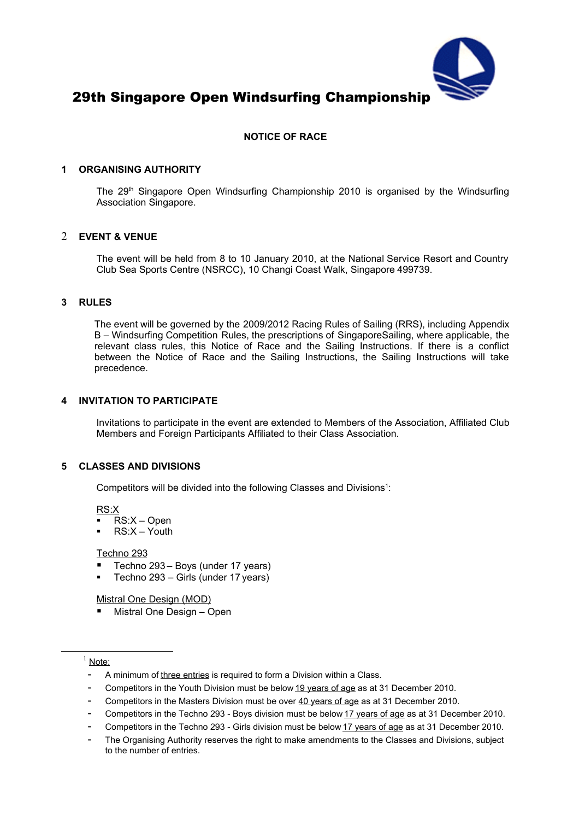

# **NOTICE OF RACE**

#### **1 ORGANISING AUTHORITY**

The  $29<sup>th</sup>$  Singapore Open Windsurfing Championship 2010 is organised by the Windsurfing Association Singapore.

#### 2 **EVENT & VENUE**

The event will be held from 8 to 10 January 2010, at the National Service Resort and Country Club Sea Sports Centre (NSRCC), 10 Changi Coast Walk, Singapore 499739.

#### **3 RULES**

The event will be governed by the 2009/2012 Racing Rules of Sailing (RRS), including Appendix B – Windsurfing Competition Rules, the prescriptions of SingaporeSailing, where applicable, the relevant class rules, this Notice of Race and the Sailing Instructions. If there is a conflict between the Notice of Race and the Sailing Instructions, the Sailing Instructions will take precedence.

#### **4 INVITATION TO PARTICIPATE**

Invitations to participate in the event are extended to Members of the Association, Affiliated Club Members and Foreign Participants Affiliated to their Class Association.

#### **5 CLASSES AND DIVISIONS**

Competitors will be divided into the following Classes and Divisions $1$ :

RS:X

- RS:X Open
- RS:X Youth

#### Techno 293

- Techno 293 Boys (under 17 years)
- Techno 293 Girls (under 17 years)

Mistral One Design (MOD)

Mistral One Design – Open

# <span id="page-0-0"></span> $1$  Note:

- A minimum of three entries is required to form a Division within a Class.
- Competitors in the Youth Division must be below 19 years of age as at 31 December 2010.
- Competitors in the Masters Division must be over 40 years of age as at 31 December 2010.
- Competitors in the Techno 293 Boys division must be below 17 years of age as at 31 December 2010.
- Competitors in the Techno 293 Girls division must be below 17 years of age as at 31 December 2010.
- The Organising Authority reserves the right to make amendments to the Classes and Divisions, subject to the number of entries.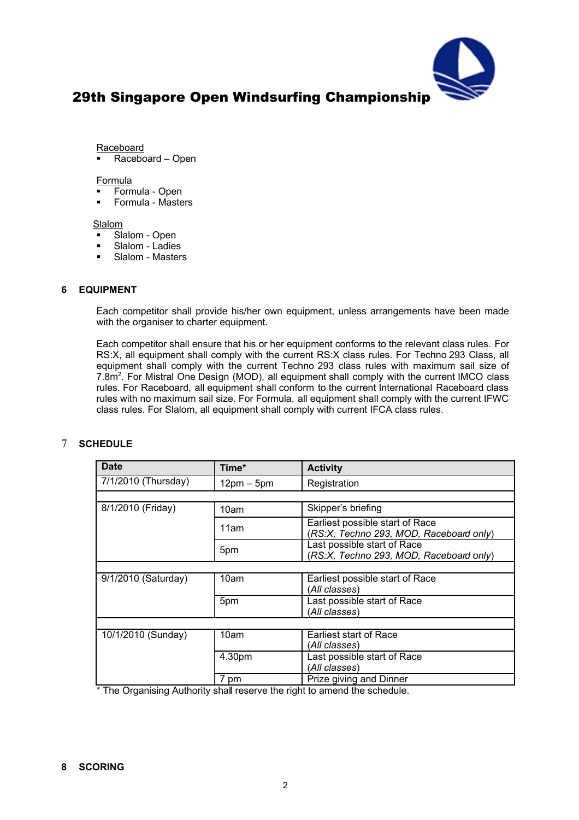

Raceboard

Raceboard – Open

#### Formula

- Formula Open
- Formula Masters

**Slalom** 

- Slalom Open
- Slalom Ladies
- **Slalom Masters**

## **6 EQUIPMENT**

Each competitor shall provide his/her own equipment, unless arrangements have been made with the organiser to charter equipment.

Each competitor shall ensure that his or her equipment conforms to the relevant class rules. For RS:X, all equipment shall comply with the current RS:X class rules. For Techno 293 Class, all equipment shall comply with the current Techno 293 class rules with maximum sail size of 7.8m<sup>2</sup>. For Mistral One Design (MOD), all equipment shall comply with the current IMCO class rules. For Raceboard, all equipment shall conform to the current International Raceboard class rules with no maximum sail size. For Formula, all equipment shall comply with the current IFWC class rules. For Slalom, all equipment shall comply with current IFCA class rules.

# 7 **SCHEDULE**

| <b>Date</b>                      | Time*        | <b>Activity</b>                                                            |  |  |
|----------------------------------|--------------|----------------------------------------------------------------------------|--|--|
| 7/1/2010 (Thursday)              | $12pm - 5pm$ | Registration                                                               |  |  |
|                                  |              |                                                                            |  |  |
| 8/1/2010 (Friday)                | 10am         | Skipper's briefing                                                         |  |  |
|                                  | 11am         | Earliest possible start of Race<br>(RS:X, Techno 293, MOD, Raceboard only) |  |  |
|                                  | 5pm          | Last possible start of Race<br>(RS:X, Techno 293, MOD, Raceboard only)     |  |  |
|                                  |              |                                                                            |  |  |
| $\overline{9/1/2010}$ (Saturday) | 10am         | Earliest possible start of Race                                            |  |  |
|                                  |              | (All classes)                                                              |  |  |
|                                  | 5pm          | Last possible start of Race                                                |  |  |
|                                  |              | (All classes)                                                              |  |  |
|                                  |              |                                                                            |  |  |
| 10/1/2010 (Sunday)               | 10am         | Earliest start of Race                                                     |  |  |
|                                  |              | (All classes)                                                              |  |  |
|                                  | 4.30pm       | Last possible start of Race                                                |  |  |
|                                  |              | (All classes)                                                              |  |  |
|                                  | 7 pm         | Prize giving and Dinner                                                    |  |  |

\* The Organising Authority shall reserve the right to amend the schedule.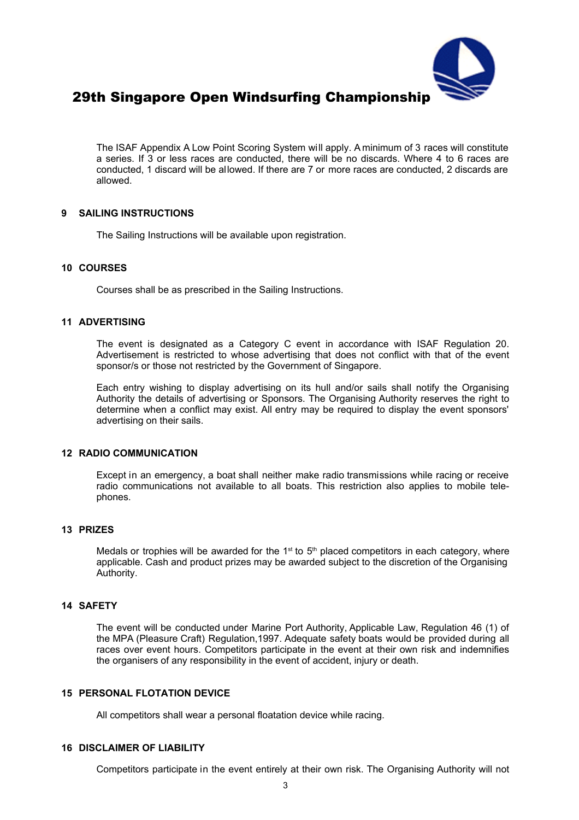

The ISAF Appendix A Low Point Scoring System will apply. A minimum of 3 races will constitute a series. If 3 or less races are conducted, there will be no discards. Where 4 to 6 races are conducted, 1 discard will be allowed. If there are 7 or more races are conducted, 2 discards are allowed.

## **9 SAILING INSTRUCTIONS**

The Sailing Instructions will be available upon registration.

#### **10 COURSES**

Courses shall be as prescribed in the Sailing Instructions.

#### **11 ADVERTISING**

The event is designated as a Category C event in accordance with ISAF Regulation 20. Advertisement is restricted to whose advertising that does not conflict with that of the event sponsor/s or those not restricted by the Government of Singapore.

Each entry wishing to display advertising on its hull and/or sails shall notify the Organising Authority the details of advertising or Sponsors. The Organising Authority reserves the right to determine when a conflict may exist. All entry may be required to display the event sponsors' advertising on their sails.

## **12 RADIO COMMUNICATION**

Except in an emergency, a boat shall neither make radio transmissions while racing or receive radio communications not available to all boats. This restriction also applies to mobile telephones.

## **13 PRIZES**

Medals or trophies will be awarded for the 1<sup>st</sup> to 5<sup>th</sup> placed competitors in each category, where applicable. Cash and product prizes may be awarded subject to the discretion of the Organising Authority.

#### **14 SAFETY**

The event will be conducted under Marine Port Authority, Applicable Law, Regulation 46 (1) of the MPA (Pleasure Craft) Regulation,1997. Adequate safety boats would be provided during all races over event hours. Competitors participate in the event at their own risk and indemnifies the organisers of any responsibility in the event of accident, injury or death.

#### **15 PERSONAL FLOTATION DEVICE**

All competitors shall wear a personal floatation device while racing.

## **16 DISCLAIMER OF LIABILITY**

Competitors participate in the event entirely at their own risk. The Organising Authority will not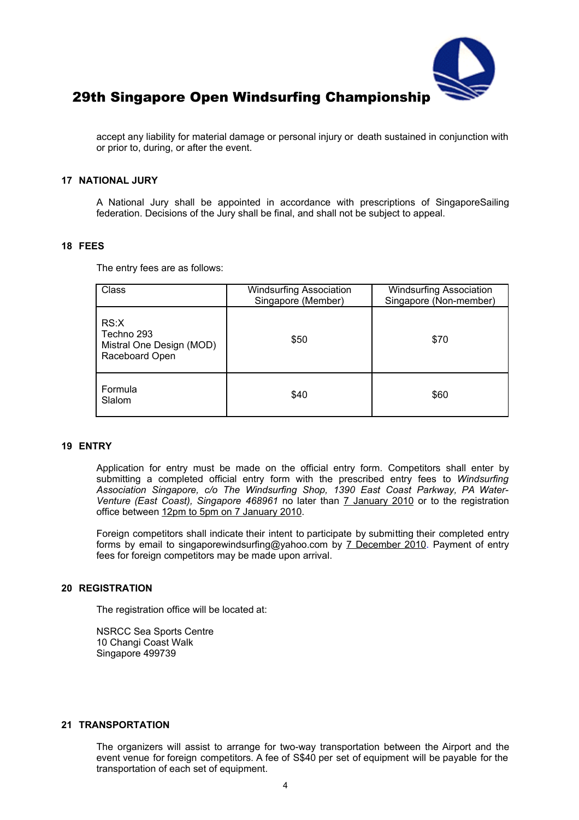

accept any liability for material damage or personal injury or death sustained in conjunction with or prior to, during, or after the event.

#### **17 NATIONAL JURY**

A National Jury shall be appointed in accordance with prescriptions of SingaporeSailing federation. Decisions of the Jury shall be final, and shall not be subject to appeal.

#### **18 FEES**

The entry fees are as follows:

| Class                                                            | <b>Windsurfing Association</b><br>Singapore (Member) | <b>Windsurfing Association</b><br>Singapore (Non-member) |  |
|------------------------------------------------------------------|------------------------------------------------------|----------------------------------------------------------|--|
| RS:X<br>Techno 293<br>Mistral One Design (MOD)<br>Raceboard Open | \$50                                                 | \$70                                                     |  |
| Formula<br>Slalom                                                | \$40                                                 | \$60                                                     |  |

#### **19 ENTRY**

Application for entry must be made on the official entry form. Competitors shall enter by submitting a completed official entry form with the prescribed entry fees to *Windsurfing Association Singapore, c/o The Windsurfing Shop, 1390 East Coast Parkway, PA Water-Venture (East Coast), Singapore 468961* no later than 7 January 2010 or to the registration office between 12pm to 5pm on 7 January 2010.

Foreign competitors shall indicate their intent to participate by submitting their completed entry forms by email to singaporewindsurfing@yahoo.com by 7 December 2010. Payment of entry fees for foreign competitors may be made upon arrival.

#### **20 REGISTRATION**

The registration office will be located at:

NSRCC Sea Sports Centre 10 Changi Coast Walk Singapore 499739

#### **21 TRANSPORTATION**

The organizers will assist to arrange for two-way transportation between the Airport and the event venue for foreign competitors. A fee of S\$40 per set of equipment will be payable for the transportation of each set of equipment.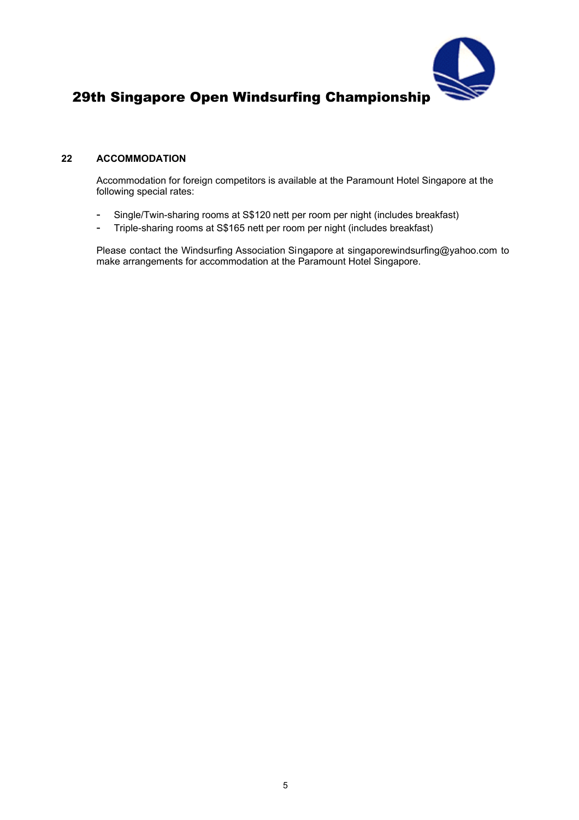

# **22 ACCOMMODATION**

Accommodation for foreign competitors is available at the Paramount Hotel Singapore at the following special rates:

- Single/Twin-sharing rooms at S\$120 nett per room per night (includes breakfast)
- Triple-sharing rooms at S\$165 nett per room per night (includes breakfast)

Please contact the Windsurfing Association Singapore at singaporewindsurfing@yahoo.com to make arrangements for accommodation at the Paramount Hotel Singapore.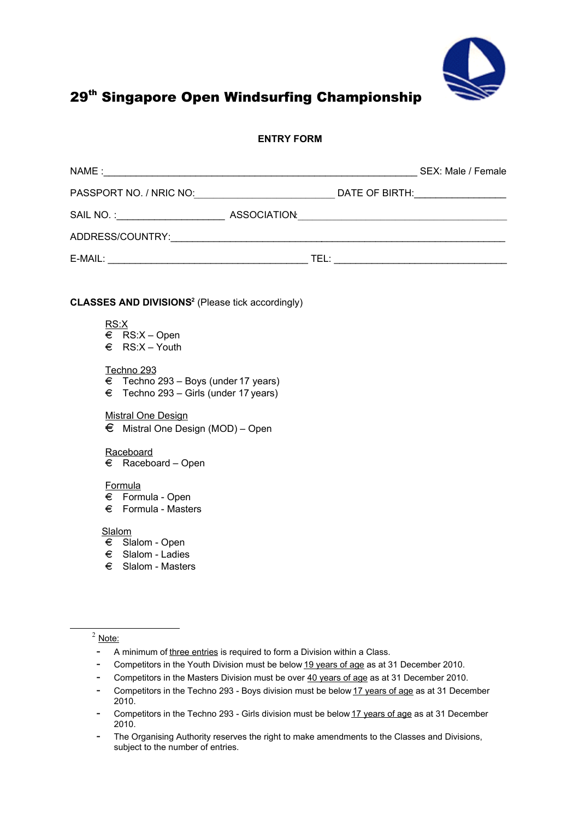

## **ENTRY FORM**

|                                                                    |  | SEX: Male / Female |
|--------------------------------------------------------------------|--|--------------------|
|                                                                    |  |                    |
|                                                                    |  |                    |
|                                                                    |  |                    |
|                                                                    |  |                    |
|                                                                    |  |                    |
| <b>CLASSES AND DIVISIONS<sup>2</sup></b> (Please tick accordingly) |  |                    |

RS:X

 $\epsilon$  RS:X – Open  $\epsilon$  RS:X – Youth

#### Techno 293

- $\epsilon$  Techno 293 Boys (under 17 years)
- $\epsilon$  Techno 293 Girls (under 17 years)

## Mistral One Design

 $\epsilon$  Mistral One Design (MOD) – Open

#### **Raceboard**

 $\epsilon$  Raceboard – Open

#### Formula

- $\epsilon$  Formula Open
- $\epsilon$  Formula Masters

**Slalom** 

- $\epsilon$  Slalom Open
- $\epsilon$  Slalom Ladies
- $\epsilon$  Slalom Masters

<span id="page-5-0"></span> $2$  Note:

- A minimum of three entries is required to form a Division within a Class.
- Competitors in the Youth Division must be below 19 years of age as at 31 December 2010.
- Competitors in the Masters Division must be over 40 years of age as at 31 December 2010.
- Competitors in the Techno 293 Boys division must be below 17 years of age as at 31 December 2010.
- Competitors in the Techno 293 Girls division must be below 17 years of age as at 31 December 2010.
- The Organising Authority reserves the right to make amendments to the Classes and Divisions, subject to the number of entries.